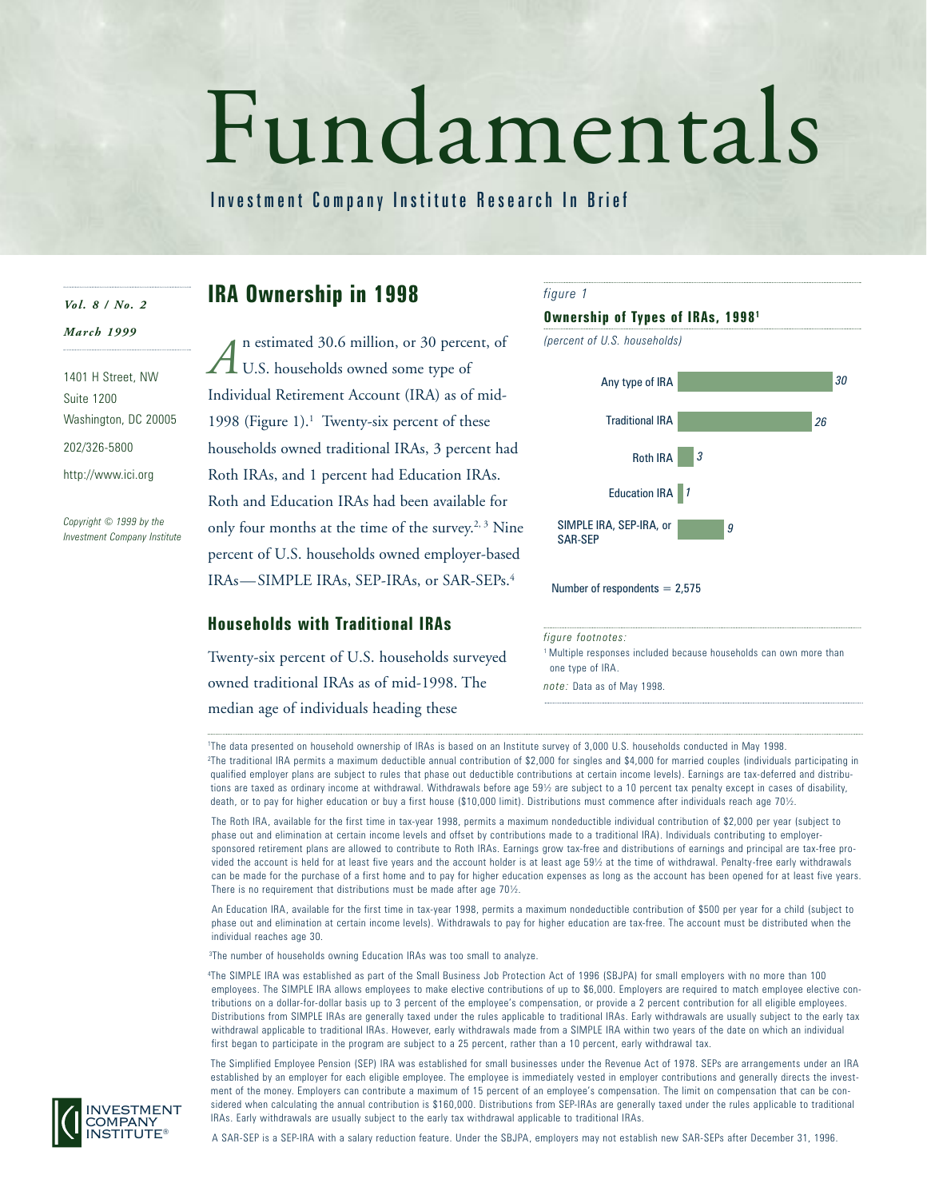# Fundamentals

Investment Company Institute Research In Brief

# *Vol. 8 / No. 2*

*March 1999*

1401 H Street, NW Suite 1200 Washington, DC 20005 202/326-5800 http://www.ici.org

*Copyright © 1999 by the Investment Company Institute*

# **IRA Ownership in 1998**

n estimated 30.6 million, or 30 percent, of U.S. households owned some type of Individual Retirement Account (IRA) as of mid-1998 (Figure 1).<sup>1</sup> Twenty-six percent of these households owned traditional IRAs, 3 percent had Roth IRAs, and 1 percent had Education IRAs. Roth and Education IRAs had been available for only four months at the time of the survey.<sup>2, 3</sup> Nine percent of U.S. households owned employer-based IRAs—SIMPLE IRAs, SEP-IRAs, or SAR-SEPs.4 *A*

# **Households with Traditional IRAs**

Twenty-six percent of U.S. households surveyed owned traditional IRAs as of mid-1998. The median age of individuals heading these



<sup>1</sup> Multiple responses included because households can own more than one type of IRA.

*note:* Data as of May 1998.

1 The data presented on household ownership of IRAs is based on an Institute survey of 3,000 U.S. households conducted in May 1998. 2 The traditional IRA permits a maximum deductible annual contribution of \$2,000 for singles and \$4,000 for married couples (individuals participating in qualified employer plans are subject to rules that phase out deductible contributions at certain income levels). Earnings are tax-deferred and distributions are taxed as ordinary income at withdrawal. Withdrawals before age 59½ are subject to a 10 percent tax penalty except in cases of disability, death, or to pay for higher education or buy a first house (\$10,000 limit). Distributions must commence after individuals reach age 70½.

The Roth IRA, available for the first time in tax-year 1998, permits a maximum nondeductible individual contribution of \$2,000 per year (subject to phase out and elimination at certain income levels and offset by contributions made to a traditional IRA). Individuals contributing to employersponsored retirement plans are allowed to contribute to Roth IRAs. Earnings grow tax-free and distributions of earnings and principal are tax-free provided the account is held for at least five years and the account holder is at least age 59½ at the time of withdrawal. Penalty-free early withdrawals can be made for the purchase of a first home and to pay for higher education expenses as long as the account has been opened for at least five years. There is no requirement that distributions must be made after age 70½.

An Education IRA, available for the first time in tax-year 1998, permits a maximum nondeductible contribution of \$500 per year for a child (subject to phase out and elimination at certain income levels). Withdrawals to pay for higher education are tax-free. The account must be distributed when the individual reaches age 30.

3 The number of households owning Education IRAs was too small to analyze.

4 The SIMPLE IRA was established as part of the Small Business Job Protection Act of 1996 (SBJPA) for small employers with no more than 100 employees. The SIMPLE IRA allows employees to make elective contributions of up to \$6,000. Employers are required to match employee elective contributions on a dollar-for-dollar basis up to 3 percent of the employee's compensation, or provide a 2 percent contribution for all eligible employees. Distributions from SIMPLE IRAs are generally taxed under the rules applicable to traditional IRAs. Early withdrawals are usually subject to the early tax withdrawal applicable to traditional IRAs. However, early withdrawals made from a SIMPLE IRA within two years of the date on which an individual first began to participate in the program are subject to a 25 percent, rather than a 10 percent, early withdrawal tax.

The Simplified Employee Pension (SEP) IRA was established for small businesses under the Revenue Act of 1978. SEPs are arrangements under an IRA established by an employer for each eligible employee. The employee is immediately vested in employer contributions and generally directs the investment of the money. Employers can contribute a maximum of 15 percent of an employee's compensation. The limit on compensation that can be considered when calculating the annual contribution is \$160,000. Distributions from SEP-IRAs are generally taxed under the rules applicable to traditional IRAs. Early withdrawals are usually subject to the early tax withdrawal applicable to traditional IRAs.



A SAR-SEP is a SEP-IRA with a salary reduction feature. Under the SBJPA, employers may not establish new SAR-SEPs after December 31, 1996.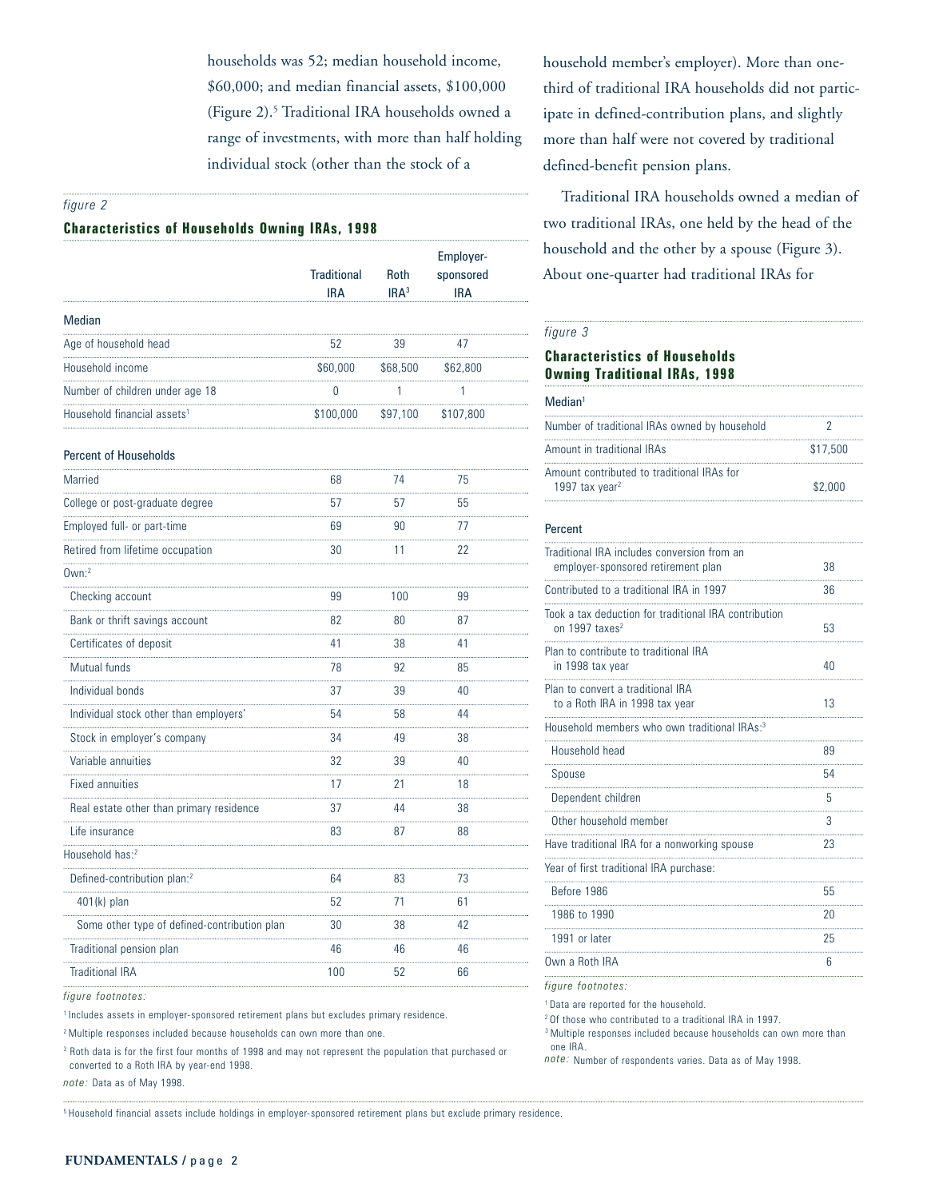households was 52; median household income, \$60,000; and median financial assets, \$100,000 (Figure 2).<sup>5</sup> Traditional IRA households owned a range of investments, with more than half holding individual stock (other than the stock of a

### *figure 2*

### **Characteristics of Households Owning IRAs, 1998**

|                                              | <b>Traditional</b><br><b>IRA</b> | Roth<br>IRA <sup>3</sup> | Employer-<br>sponsored<br><b>IRA</b> |
|----------------------------------------------|----------------------------------|--------------------------|--------------------------------------|
| Median                                       |                                  |                          |                                      |
| Age of household head                        | 52                               | 39                       | 47                                   |
| Household income                             | \$60,000                         | \$68,500                 | \$62,800                             |
| Number of children under age 18              | 0                                | 1                        | 1                                    |
| Household financial assets <sup>1</sup>      | \$100,000                        | \$97,100                 | \$107,800                            |
| <b>Percent of Households</b>                 |                                  |                          |                                      |
| <b>Married</b>                               | 68                               | 74                       | 75                                   |
| College or post-graduate degree              | 57                               | 57                       | 55                                   |
| Employed full- or part-time                  | 69                               | 90                       | 77                                   |
| Retired from lifetime occupation             | 30                               | 11                       | 22                                   |
| $0$ wn: $2$                                  |                                  |                          |                                      |
| Checking account                             | 99                               | 100                      | 99                                   |
| Bank or thrift savings account               | 82                               | 80                       | 87                                   |
| Certificates of deposit                      | 41                               | 38                       | 41                                   |
| Mutual funds                                 | 78                               | 92                       | 85                                   |
| Individual bonds                             | 37                               | 39                       | 40                                   |
| Individual stock other than employers'       | 54                               | 58                       | 44                                   |
| Stock in employer's company                  | 34                               | 49                       | 38                                   |
| Variable annuities                           | 32                               | 39                       | 40                                   |
| <b>Fixed annuities</b>                       | 17                               | 21                       | 18                                   |
| Real estate other than primary residence     | 37                               | 44                       | 38                                   |
| Life insurance                               | 83                               | 87                       | 88                                   |
| Household has: <sup>2</sup>                  |                                  |                          |                                      |
| Defined-contribution plan: <sup>2</sup>      | 64                               | 83                       | 73                                   |
| 401(k) plan                                  | $\cdots$<br>52                   | $\sim$<br>71             | $\sim$<br>61                         |
| Some other type of defined-contribution plan | 30                               | 38                       | 42                                   |
| Traditional pension plan                     | 46                               | 46                       | 46                                   |
| <b>Traditional IRA</b>                       | 100                              | 52                       | 66                                   |

*figure footnotes:*

<sup>1</sup> Includes assets in employer-sponsored retirement plans but excludes primary residence.

2 Multiple responses included because households can own more than one.

<sup>3</sup> Roth data is for the first four months of 1998 and may not represent the population that purchased or converted to a Roth IRA by year-end 1998.

*note:* Data as of May 1998.

5 Household financial assets include holdings in employer-sponsored retirement plans but exclude primary residence.

household member's employer). More than onethird of traditional IRA households did not participate in defined-contribution plans, and slightly more than half were not covered by traditional defined-benefit pension plans.

Traditional IRA households owned a median of two traditional IRAs, one held by the head of the household and the other by a spouse (Figure 3). About one-quarter had traditional IRAs for

### *figure 3*

# **Characteristics of Households Owning Traditional IRAs, 1998**

### Median<sup>1</sup>

| Number of traditional IRAs owned by household                            |          |
|--------------------------------------------------------------------------|----------|
| Amount in traditional IRAs                                               | \$17,500 |
| Amount contributed to traditional IRAs for<br>1997 tax year <sup>2</sup> | \$2.000  |

### Percent

| Traditional IRA includes conversion from an<br>employer-sponsored retirement plan   | 38 |
|-------------------------------------------------------------------------------------|----|
| Contributed to a traditional IRA in 1997                                            | 36 |
| Took a tax deduction for traditional IRA contribution<br>on 1997 taxes <sup>2</sup> | 53 |
| Plan to contribute to traditional IRA<br>in 1998 tax year                           | 40 |
| Plan to convert a traditional IRA<br>to a Roth IRA in 1998 tax year                 | 13 |
| Household members who own traditional IRAs: <sup>3</sup>                            |    |
| Household head                                                                      | 89 |
| Spouse                                                                              | 54 |
| Dependent children                                                                  | 5  |
| Other household member                                                              | 3  |
| Have traditional IRA for a nonworking spouse                                        | 23 |
| Year of first traditional IRA purchase:                                             |    |
| Before 1986                                                                         | 55 |
| 1986 to 1990                                                                        | 20 |
| 1991 or later                                                                       | 25 |
| Own a Roth IRA                                                                      | 6  |
| figure footnotes:<br><sup>1</sup> Data are reported for the household.              |    |

2 Of those who contributed to a traditional IRA in 1997.

<sup>3</sup> Multiple responses included because households can own more than one IRA.

*note:* Number of respondents varies. Data as of May 1998.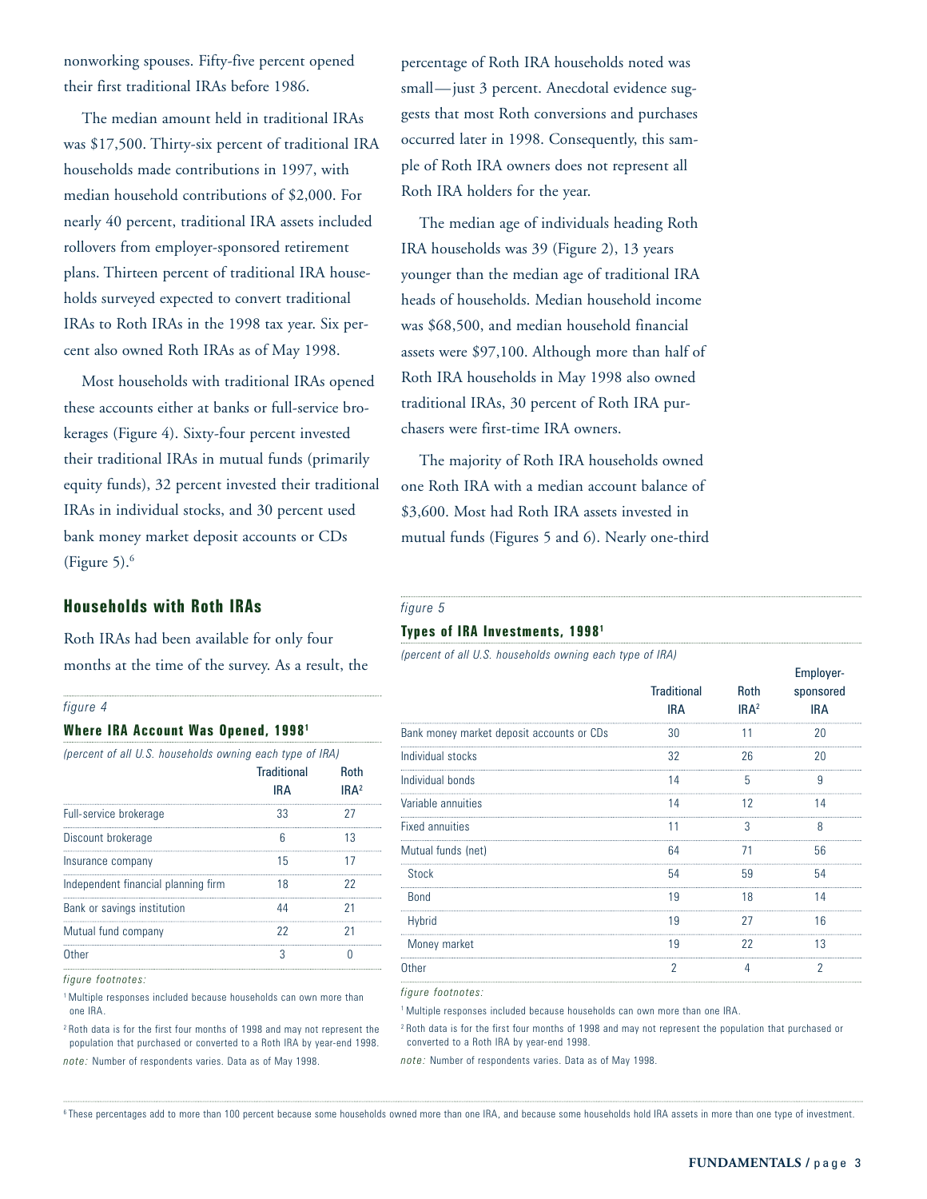nonworking spouses. Fifty-five percent opened their first traditional IRAs before 1986.

The median amount held in traditional IRAs was \$17,500. Thirty-six percent of traditional IRA households made contributions in 1997, with median household contributions of \$2,000. For nearly 40 percent, traditional IRA assets included rollovers from employer-sponsored retirement plans. Thirteen percent of traditional IRA households surveyed expected to convert traditional IRAs to Roth IRAs in the 1998 tax year. Six percent also owned Roth IRAs as of May 1998.

Most households with traditional IRAs opened these accounts either at banks or full-service brokerages (Figure 4). Sixty-four percent invested their traditional IRAs in mutual funds (primarily equity funds), 32 percent invested their traditional IRAs in individual stocks, and 30 percent used bank money market deposit accounts or CDs (Figure 5). $<sup>6</sup>$ </sup>

# **Households with Roth IRAs**

Roth IRAs had been available for only four months at the time of the survey. As a result, the

### *figure 4*

### **Where IRA Account Was Opened, 19981**

| (percent of all U.S. households owning each type of IRA) |                  |  |  |
|----------------------------------------------------------|------------------|--|--|
| <b>Traditional</b>                                       | <b>Roth</b>      |  |  |
| <b>IRA</b>                                               | IRA <sup>2</sup> |  |  |
| 33                                                       | 27               |  |  |
| 6                                                        | 13               |  |  |
| 15                                                       | 17               |  |  |
| 18                                                       | 22               |  |  |
| 44                                                       | 21               |  |  |
| 22                                                       | 21               |  |  |
| 3                                                        |                  |  |  |
|                                                          |                  |  |  |

*figure footnotes:*

1 Multiple responses included because households can own more than one IRA.

2 Roth data is for the first four months of 1998 and may not represent the population that purchased or converted to a Roth IRA by year-end 1998. *note:* Number of respondents varies. Data as of May 1998.

percentage of Roth IRA households noted was small—just 3 percent. Anecdotal evidence suggests that most Roth conversions and purchases occurred later in 1998. Consequently, this sample of Roth IRA owners does not represent all Roth IRA holders for the year.

The median age of individuals heading Roth IRA households was 39 (Figure 2), 13 years younger than the median age of traditional IRA heads of households. Median household income was \$68,500, and median household financial assets were \$97,100. Although more than half of Roth IRA households in May 1998 also owned traditional IRAs, 30 percent of Roth IRA purchasers were first-time IRA owners.

The majority of Roth IRA households owned one Roth IRA with a median account balance of \$3,600. Most had Roth IRA assets invested in mutual funds (Figures 5 and 6). Nearly one-third

### *figure 5*

### **Types of IRA Investments, 19981**

*(percent of all U.S. households owning each type of IRA)*

|                                  |                                 | Employer-               |  |
|----------------------------------|---------------------------------|-------------------------|--|
| <b>Traditional</b><br><b>IRA</b> | <b>Roth</b><br>IRA <sup>2</sup> | sponsored<br><b>IRA</b> |  |
| 30                               |                                 | 20                      |  |
| 32                               | 26                              | 20                      |  |
| 14                               | 5                               | g                       |  |
| 14                               | 12                              | 14                      |  |
| 11                               | 3                               | 8                       |  |
| 64                               | 71                              | 56                      |  |
| 54                               | 59                              | 54                      |  |
| 19                               | 18                              | 14                      |  |
| 19                               | 27                              | 16                      |  |
| 19                               | 22                              | 13                      |  |
| 2                                |                                 | 2                       |  |
|                                  |                                 |                         |  |

*figure footnotes:*

<sup>1</sup> Multiple responses included because households can own more than one IRA.

2 Roth data is for the first four months of 1998 and may not represent the population that purchased or converted to a Roth IRA by year-end 1998.

*note:* Number of respondents varies. Data as of May 1998.

<sup>6</sup>These percentages add to more than 100 percent because some households owned more than one IRA, and because some households hold IRA assets in more than one type of investment.